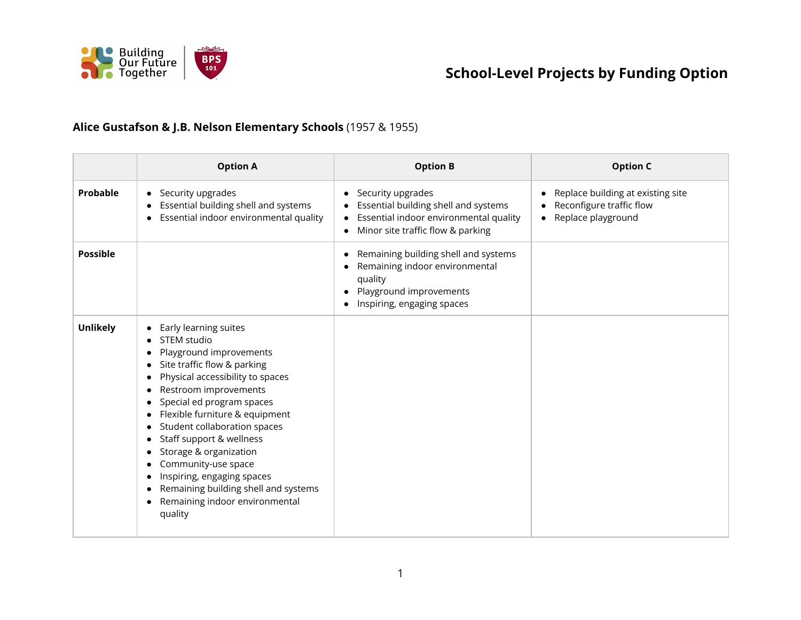

#### **Alice Gustafson & J.B. Nelson Elementary Schools** (1957 & 1955)

|                 | <b>Option A</b>                                                                                                                                                                                                                                                                                                                                                                                                                                            | <b>Option B</b>                                                                                                                                                    | <b>Option C</b>                                                                     |
|-----------------|------------------------------------------------------------------------------------------------------------------------------------------------------------------------------------------------------------------------------------------------------------------------------------------------------------------------------------------------------------------------------------------------------------------------------------------------------------|--------------------------------------------------------------------------------------------------------------------------------------------------------------------|-------------------------------------------------------------------------------------|
| Probable        | • Security upgrades<br>Essential building shell and systems<br>Essential indoor environmental quality                                                                                                                                                                                                                                                                                                                                                      | Security upgrades<br>$\bullet$<br>Essential building shell and systems<br>Essential indoor environmental quality<br>$\bullet$<br>Minor site traffic flow & parking | Replace building at existing site<br>Reconfigure traffic flow<br>Replace playground |
| <b>Possible</b> |                                                                                                                                                                                                                                                                                                                                                                                                                                                            | Remaining building shell and systems<br>Remaining indoor environmental<br>quality<br>Playground improvements<br>Inspiring, engaging spaces                         |                                                                                     |
| <b>Unlikely</b> | Early learning suites<br>STEM studio<br>Playground improvements<br>Site traffic flow & parking<br>Physical accessibility to spaces<br>Restroom improvements<br>Special ed program spaces<br>Flexible furniture & equipment<br>Student collaboration spaces<br>Staff support & wellness<br>Storage & organization<br>Community-use space<br>Inspiring, engaging spaces<br>Remaining building shell and systems<br>Remaining indoor environmental<br>quality |                                                                                                                                                                    |                                                                                     |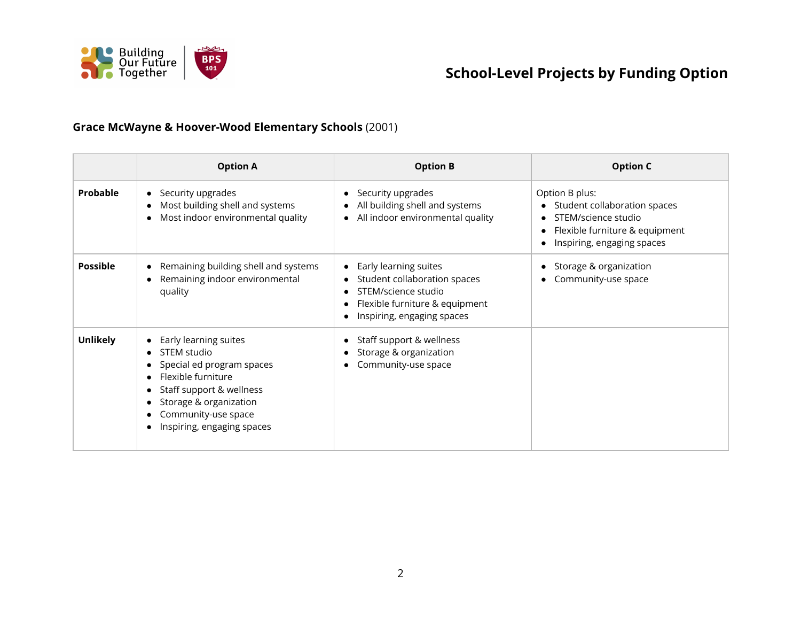

#### **Grace McWayne & Hoover-Wood Elementary Schools** (2001)

|                 | <b>Option A</b>                                                                                                                                                                                      | <b>Option B</b>                                                                                                                                                                                  | <b>Option C</b>                                                                                                                       |
|-----------------|------------------------------------------------------------------------------------------------------------------------------------------------------------------------------------------------------|--------------------------------------------------------------------------------------------------------------------------------------------------------------------------------------------------|---------------------------------------------------------------------------------------------------------------------------------------|
| Probable        | • Security upgrades<br>Most building shell and systems<br>Most indoor environmental quality                                                                                                          | Security upgrades<br>All building shell and systems<br>All indoor environmental quality<br>$\bullet$                                                                                             | Option B plus:<br>Student collaboration spaces<br>STEM/science studio<br>Flexible furniture & equipment<br>Inspiring, engaging spaces |
| <b>Possible</b> | Remaining building shell and systems<br>Remaining indoor environmental<br>quality                                                                                                                    | Early learning suites<br>$\bullet$<br>Student collaboration spaces<br>$\bullet$<br>STEM/science studio<br>$\bullet$<br>Flexible furniture & equipment<br>$\bullet$<br>Inspiring, engaging spaces | Storage & organization<br>Community-use space                                                                                         |
| <b>Unlikely</b> | • Early learning suites<br>STEM studio<br>Special ed program spaces<br>Flexible furniture<br>Staff support & wellness<br>Storage & organization<br>Community-use space<br>Inspiring, engaging spaces | Staff support & wellness<br>Storage & organization<br>$\bullet$<br>Community-use space<br>$\bullet$                                                                                              |                                                                                                                                       |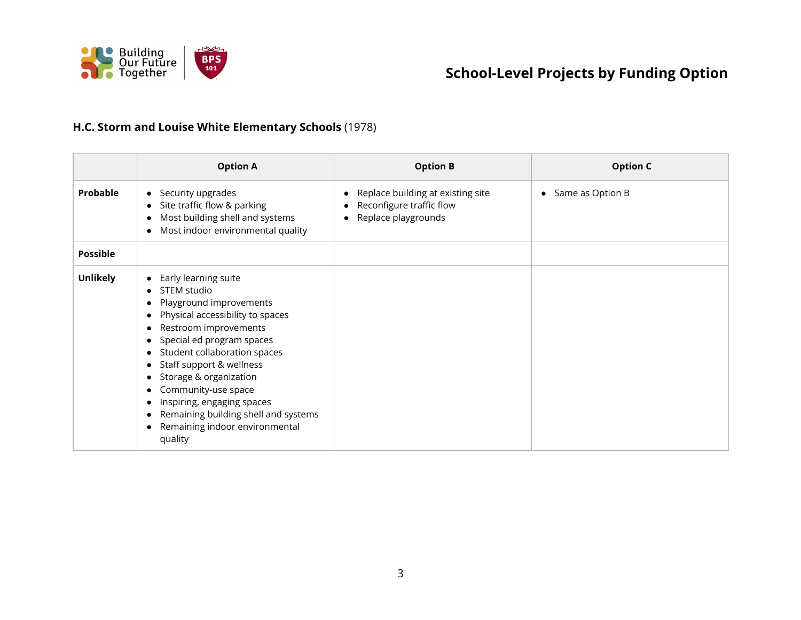

#### **H.C. Storm and Louise White Elementary Schools** (1978)

|                 | <b>Option A</b>                                                                                                                                                                                                                                                                                                                                                                          | <b>Option B</b>                                                                                        | <b>Option C</b>    |
|-----------------|------------------------------------------------------------------------------------------------------------------------------------------------------------------------------------------------------------------------------------------------------------------------------------------------------------------------------------------------------------------------------------------|--------------------------------------------------------------------------------------------------------|--------------------|
| Probable        | • Security upgrades<br>Site traffic flow & parking<br>Most building shell and systems<br>Most indoor environmental quality                                                                                                                                                                                                                                                               | Replace building at existing site<br>$\bullet$<br>Reconfigure traffic flow<br>Replace playgrounds<br>٠ | • Same as Option B |
| <b>Possible</b> |                                                                                                                                                                                                                                                                                                                                                                                          |                                                                                                        |                    |
| <b>Unlikely</b> | Early learning suite<br>STEM studio<br>Playground improvements<br>Physical accessibility to spaces<br>Restroom improvements<br>Special ed program spaces<br>Student collaboration spaces<br>Staff support & wellness<br>Storage & organization<br>Community-use space<br>Inspiring, engaging spaces<br>Remaining building shell and systems<br>Remaining indoor environmental<br>quality |                                                                                                        |                    |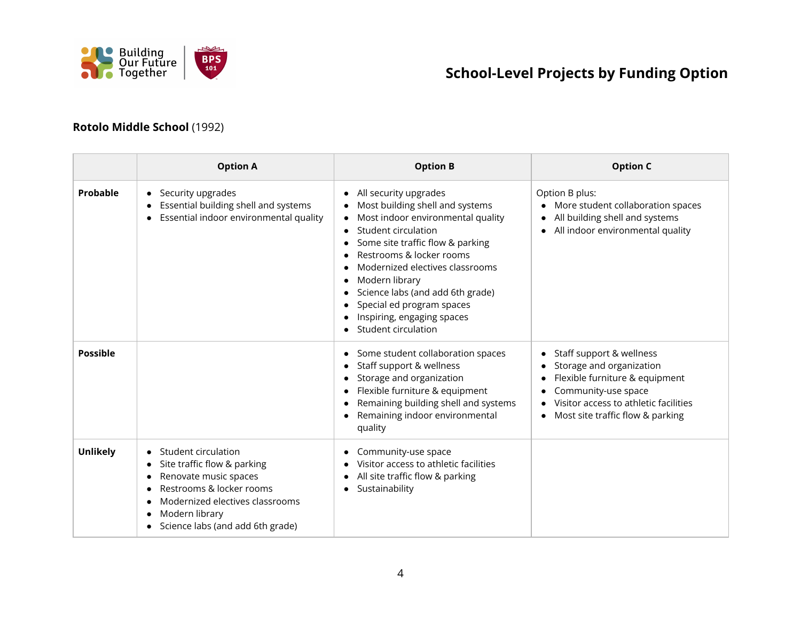

#### **Rotolo Middle School** (1992)

|                 | <b>Option A</b>                                                                                                                                                                                  | <b>Option B</b>                                                                                                                                                                                                                                                                                                                                                                        | <b>Option C</b>                                                                                                                                                                            |
|-----------------|--------------------------------------------------------------------------------------------------------------------------------------------------------------------------------------------------|----------------------------------------------------------------------------------------------------------------------------------------------------------------------------------------------------------------------------------------------------------------------------------------------------------------------------------------------------------------------------------------|--------------------------------------------------------------------------------------------------------------------------------------------------------------------------------------------|
| Probable        | • Security upgrades<br>Essential building shell and systems<br>Essential indoor environmental quality                                                                                            | All security upgrades<br>$\bullet$<br>Most building shell and systems<br>Most indoor environmental quality<br>٠<br>Student circulation<br>Some site traffic flow & parking<br>Restrooms & locker rooms<br>Modernized electives classrooms<br>Modern library<br>٠<br>Science labs (and add 6th grade)<br>Special ed program spaces<br>Inspiring, engaging spaces<br>Student circulation | Option B plus:<br>More student collaboration spaces<br>All building shell and systems<br>All indoor environmental quality                                                                  |
| <b>Possible</b> |                                                                                                                                                                                                  | Some student collaboration spaces<br>Staff support & wellness<br>Storage and organization<br>٠<br>Flexible furniture & equipment<br>Remaining building shell and systems<br>Remaining indoor environmental<br>quality                                                                                                                                                                  | Staff support & wellness<br>Storage and organization<br>Flexible furniture & equipment<br>Community-use space<br>Visitor access to athletic facilities<br>Most site traffic flow & parking |
| <b>Unlikely</b> | Student circulation<br>Site traffic flow & parking<br>Renovate music spaces<br>Restrooms & locker rooms<br>Modernized electives classrooms<br>Modern library<br>Science labs (and add 6th grade) | Community-use space<br>٠<br>Visitor access to athletic facilities<br>All site traffic flow & parking<br>Sustainability<br>٠                                                                                                                                                                                                                                                            |                                                                                                                                                                                            |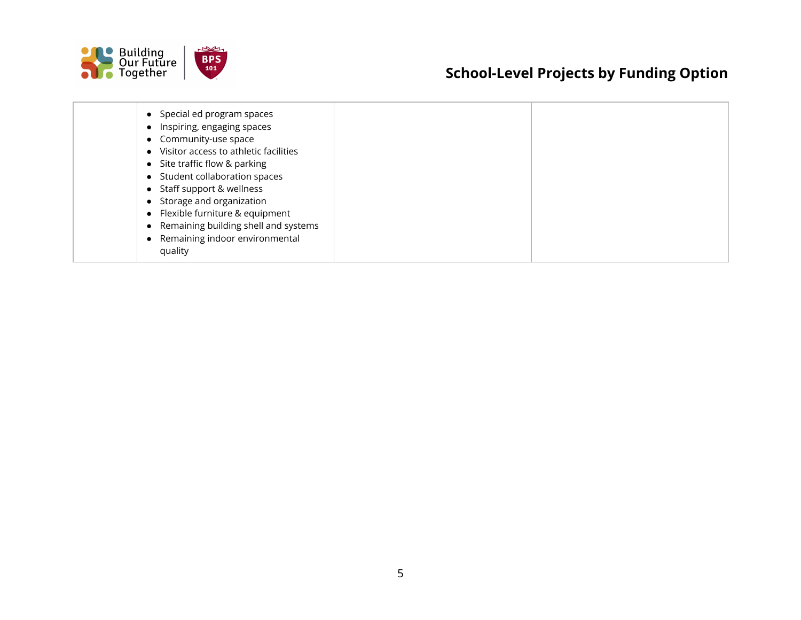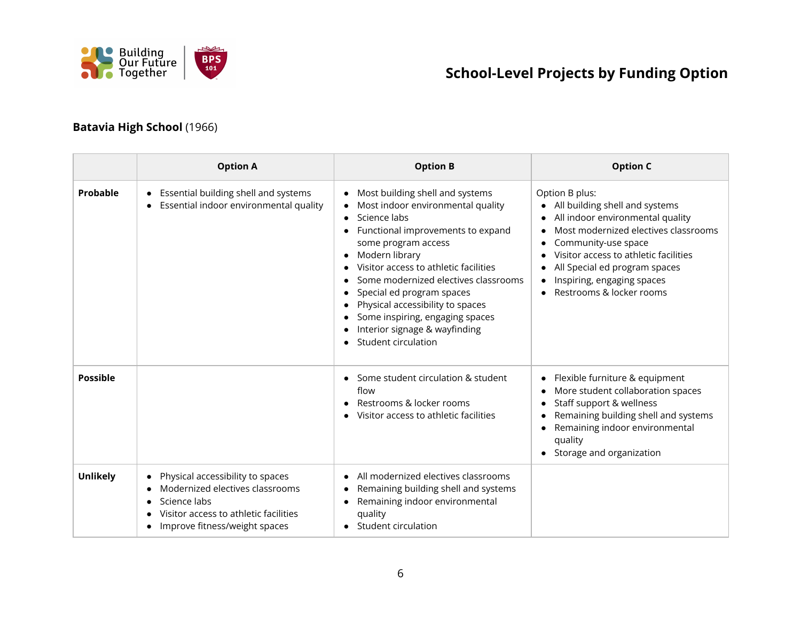

#### **Batavia High School** (1966)

|                 | <b>Option A</b>                                                                                                                                               | <b>Option B</b>                                                                                                                                                                                                                                                                                                                                                                                                                                | <b>Option C</b>                                                                                                                                                                                                                                                                                      |
|-----------------|---------------------------------------------------------------------------------------------------------------------------------------------------------------|------------------------------------------------------------------------------------------------------------------------------------------------------------------------------------------------------------------------------------------------------------------------------------------------------------------------------------------------------------------------------------------------------------------------------------------------|------------------------------------------------------------------------------------------------------------------------------------------------------------------------------------------------------------------------------------------------------------------------------------------------------|
| Probable        | • Essential building shell and systems<br>Essential indoor environmental quality                                                                              | Most building shell and systems<br>$\bullet$<br>Most indoor environmental quality<br>Science labs<br>$\bullet$<br>Functional improvements to expand<br>some program access<br>Modern library<br>٠<br>Visitor access to athletic facilities<br>Some modernized electives classrooms<br>Special ed program spaces<br>Physical accessibility to spaces<br>Some inspiring, engaging spaces<br>Interior signage & wayfinding<br>Student circulation | Option B plus:<br>All building shell and systems<br>All indoor environmental quality<br>$\bullet$<br>Most modernized electives classrooms<br>Community-use space<br>Visitor access to athletic facilities<br>All Special ed program spaces<br>Inspiring, engaging spaces<br>Restrooms & locker rooms |
| <b>Possible</b> |                                                                                                                                                               | Some student circulation & student<br>flow<br>Restrooms & locker rooms<br>Visitor access to athletic facilities                                                                                                                                                                                                                                                                                                                                | Flexible furniture & equipment<br>More student collaboration spaces<br>$\bullet$<br>Staff support & wellness<br>Remaining building shell and systems<br>Remaining indoor environmental<br>quality<br>Storage and organization<br>$\bullet$                                                           |
| <b>Unlikely</b> | Physical accessibility to spaces<br>Modernized electives classrooms<br>Science labs<br>Visitor access to athletic facilities<br>Improve fitness/weight spaces | All modernized electives classrooms<br>Remaining building shell and systems<br>Remaining indoor environmental<br>quality<br>Student circulation                                                                                                                                                                                                                                                                                                |                                                                                                                                                                                                                                                                                                      |